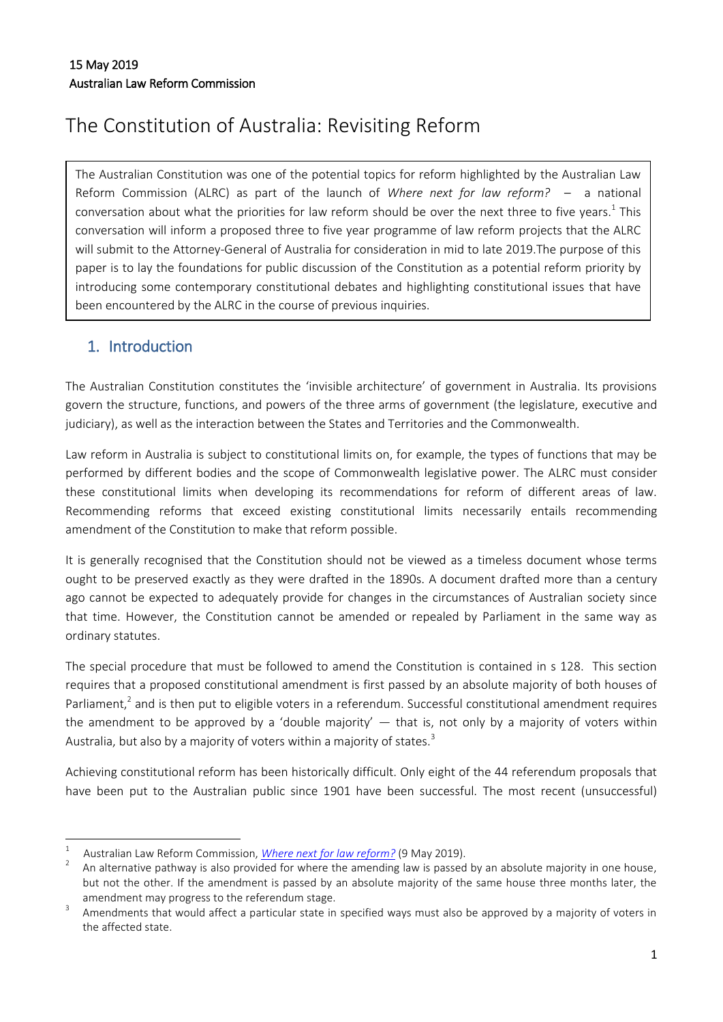# The Constitution of Australia: Revisiting Reform

The Australian Constitution was one of the potential topics for reform highlighted by the Australian Law Reform Commission (ALRC) as part of the launch of *Where next for law reform? –* a national conversation about what the priorities for law reform should be over the next three to five years.<sup>1</sup> This conversation will inform a proposed three to five year programme of law reform projects that the ALRC will submit to the Attorney-General of Australia for consideration in mid to late 2019.The purpose of this paper is to lay the foundations for public discussion of the Constitution as a potential reform priority by introducing some contemporary constitutional debates and highlighting constitutional issues that have been encountered by the ALRC in the course of previous inquiries.

# 1. Introduction

The Australian Constitution constitutes the 'invisible architecture' of government in Australia. Its provisions govern the structure, functions, and powers of the three arms of government (the legislature, executive and judiciary), as well as the interaction between the States and Territories and the Commonwealth.

Law reform in Australia is subject to constitutional limits on, for example, the types of functions that may be performed by different bodies and the scope of Commonwealth legislative power. The ALRC must consider these constitutional limits when developing its recommendations for reform of different areas of law. Recommending reforms that exceed existing constitutional limits necessarily entails recommending amendment of the Constitution to make that reform possible.

It is generally recognised that the Constitution should not be viewed as a timeless document whose terms ought to be preserved exactly as they were drafted in the 1890s. A document drafted more than a century ago cannot be expected to adequately provide for changes in the circumstances of Australian society since that time. However, the Constitution cannot be amended or repealed by Parliament in the same way as ordinary statutes.

The special procedure that must be followed to amend the Constitution is contained in s 128. This section requires that a proposed constitutional amendment is first passed by an absolute majority of both houses of Parliament,<sup>2</sup> and is then put to eligible voters in a referendum. Successful constitutional amendment requires the amendment to be approved by a 'double majority'  $-$  that is, not only by a majority of voters within Australia, but also by a majority of voters within a majority of states.<sup>3</sup>

Achieving constitutional reform has been historically difficult. Only eight of the 44 referendum proposals that have been put to the Australian public since 1901 have been successful. The most recent (unsuccessful)

 $\frac{1}{1}$ Australian Law Reform Commission, *[Where next for law reform?](https://www.alrc.gov.au/sites/default/files/reform_priorities_preliminary_analysis_paper.pdf)* (9 May 2019).

<sup>2</sup> An alternative pathway is also provided for where the amending law is passed by an absolute majority in one house, but not the other. If the amendment is passed by an absolute majority of the same house three months later, the amendment may progress to the referendum stage.

<sup>3</sup> Amendments that would affect a particular state in specified ways must also be approved by a majority of voters in the affected state.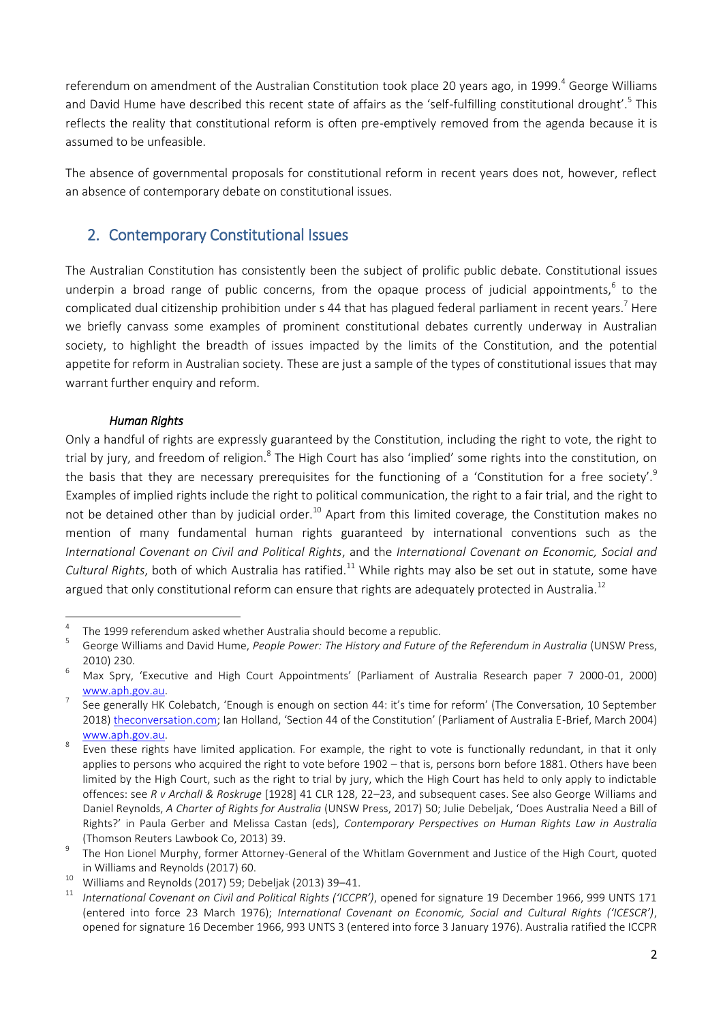referendum on amendment of the Australian Constitution took place 20 years ago, in 1999.<sup>4</sup> George Williams and David Hume have described this recent state of affairs as the 'self-fulfilling constitutional drought'.<sup>5</sup> This reflects the reality that constitutional reform is often pre-emptively removed from the agenda because it is assumed to be unfeasible.

The absence of governmental proposals for constitutional reform in recent years does not, however, reflect an absence of contemporary debate on constitutional issues.

## 2. Contemporary Constitutional Issues

The Australian Constitution has consistently been the subject of prolific public debate. Constitutional issues underpin a broad range of public concerns, from the opaque process of judicial appointments,<sup>6</sup> to the complicated dual citizenship prohibition under s 44 that has plagued federal parliament in recent years.<sup>7</sup> Here we briefly canvass some examples of prominent constitutional debates currently underway in Australian society, to highlight the breadth of issues impacted by the limits of the Constitution, and the potential appetite for reform in Australian society. These are just a sample of the types of constitutional issues that may warrant further enquiry and reform.

## *Human Rights*

Only a handful of rights are expressly guaranteed by the Constitution, including the right to vote, the right to trial by jury, and freedom of religion.<sup>8</sup> The High Court has also 'implied' some rights into the constitution, on the basis that they are necessary prerequisites for the functioning of a 'Constitution for a free society'.<sup>9</sup> Examples of implied rights include the right to political communication, the right to a fair trial, and the right to not be detained other than by judicial order.<sup>10</sup> Apart from this limited coverage, the Constitution makes no mention of many fundamental human rights guaranteed by international conventions such as the *International Covenant on Civil and Political Rights*, and the *International Covenant on Economic, Social and Cultural Rights*, both of which Australia has ratified.<sup>11</sup> While rights may also be set out in statute, some have argued that only constitutional reform can ensure that rights are adequately protected in Australia.<sup>12</sup>

 $\overline{a}$ 4 The 1999 referendum asked whether Australia should become a republic.

<sup>5</sup> George Williams and David Hume, People Power: The History and Future of the Referendum in Australia (UNSW Press, 2010) 230.

<sup>6</sup> Max Spry, 'Executive and High Court Appointments' (Parliament of Australia Research paper 7 2000-01, 2000) [www.aph.gov.au.](https://www.aph.gov.au/About_Parliament/Parliamentary_Departments/Parliamentary_Library/pubs/rp/rp0001/01RP07)

<sup>7</sup> See generally HK Colebatch, 'Enough is enough on section 44: it's time for reform' (The Conversation, 10 September 2018[\) theconversation.com](https://theconversation.com/enough-is-enough-on-section-44-its-time-for-reform-102708); Ian Holland, 'Section 44 of the Constitution' (Parliament of Australia E-Brief, March 2004) [www.aph.gov.au.](https://www.aph.gov.au/about_parliament/parliamentary_departments/parliamentary_library/publications_archive/archive/section44)

<sup>8</sup> Even these rights have limited application. For example, the right to vote is functionally redundant, in that it only applies to persons who acquired the right to vote before 1902 – that is, persons born before 1881. Others have been limited by the High Court, such as the right to trial by jury, which the High Court has held to only apply to indictable offences: see *R v Archall & Roskruge* [1928] 41 CLR 128, 22–23, and subsequent cases. See also George Williams and Daniel Reynolds, *A Charter of Rights for Australia* (UNSW Press, 2017) 50; Julie Debeljak, 'Does Australia Need a Bill of Rights?' in Paula Gerber and Melissa Castan (eds), *Contemporary Perspectives on Human Rights Law in Australia*  (Thomson Reuters Lawbook Co, 2013) 39.

<sup>9</sup> The Hon Lionel Murphy, former Attorney-General of the Whitlam Government and Justice of the High Court, quoted in Williams and Reynolds (2017) 60.

<sup>&</sup>lt;sup>10</sup> Williams and Reynolds (2017) 59; Debeljak (2013) 39–41.

<sup>11</sup> *International Covenant on Civil and Political Rights ('ICCPR')*, opened for signature 19 December 1966, 999 UNTS 171 (entered into force 23 March 1976); *International Covenant on Economic, Social and Cultural Rights ('ICESCR')*, opened for signature 16 December 1966, 993 UNTS 3 (entered into force 3 January 1976). Australia ratified the ICCPR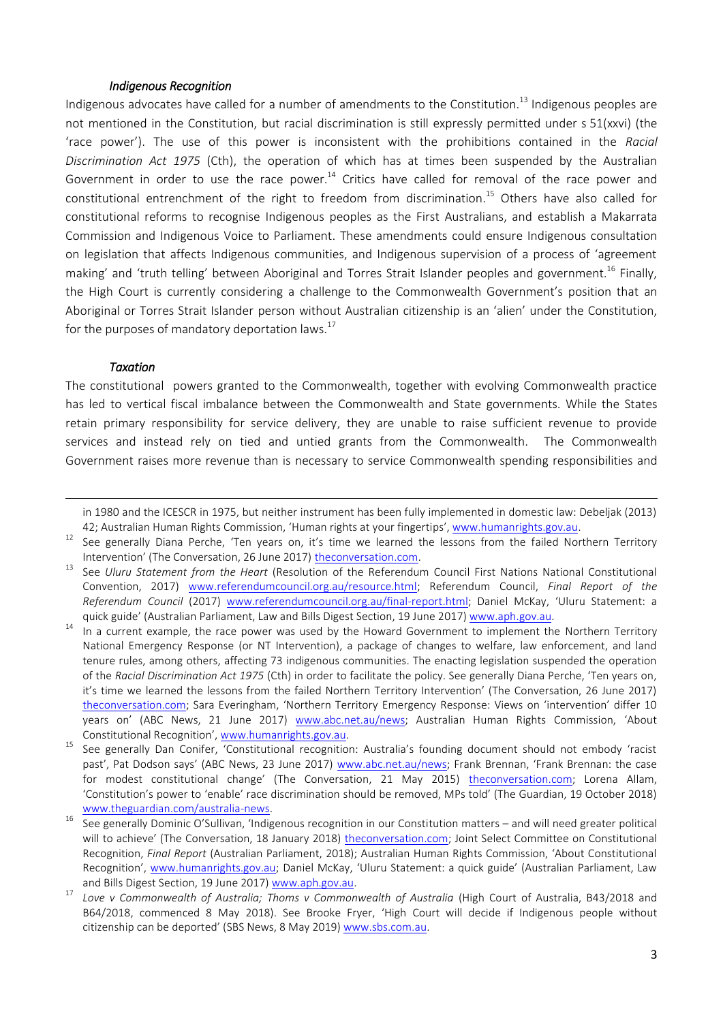## *Indigenous Recognition*

Indigenous advocates have called for a number of amendments to the Constitution.<sup>13</sup> Indigenous peoples are not mentioned in the Constitution, but racial discrimination is still expressly permitted under s 51(xxvi) (the 'race power'). The use of this power is inconsistent with the prohibitions contained in the *Racial Discrimination Act 1975* (Cth), the operation of which has at times been suspended by the Australian Government in order to use the race power.<sup>14</sup> Critics have called for removal of the race power and constitutional entrenchment of the right to freedom from discrimination. <sup>15</sup> Others have also called for constitutional reforms to recognise Indigenous peoples as the First Australians, and establish a Makarrata Commission and Indigenous Voice to Parliament. These amendments could ensure Indigenous consultation on legislation that affects Indigenous communities, and Indigenous supervision of a process of 'agreement making' and 'truth telling' between Aboriginal and Torres Strait Islander peoples and government. <sup>16</sup> Finally, the High Court is currently considering a challenge to the Commonwealth Government's position that an Aboriginal or Torres Strait Islander person without Australian citizenship is an 'alien' under the Constitution, for the purposes of mandatory deportation laws. $^{17}$ 

### *Taxation*

**.** 

The constitutional powers granted to the Commonwealth, together with evolving Commonwealth practice has led to vertical fiscal imbalance between the Commonwealth and State governments. While the States retain primary responsibility for service delivery, they are unable to raise sufficient revenue to provide services and instead rely on tied and untied grants from the Commonwealth. The Commonwealth Government raises more revenue than is necessary to service Commonwealth spending responsibilities and

in 1980 and the ICESCR in 1975, but neither instrument has been fully implemented in domestic law: Debeljak (2013) 42; Australian Human Rights Commission, 'Human rights at your fingertips', [www.humanrights.gov.au.](https://www.humanrights.gov.au/our-work/commission-general/chart-australian-treaty-ratifications-may-2012-human-rights-your)

See generally Diana Perche, 'Ten years on, it's time we learned the lessons from the failed Northern Territory Intervention' (The Conversation, 26 June 2017) [theconversation.com.](https://theconversation.com/ten-years-on-its-time-we-learned-the-lessons-from-the-failed-northern-territory-intervention-79198)

<sup>13</sup> See *Uluru Statement from the Heart* (Resolution of the Referendum Council First Nations National Constitutional Convention, 2017) [www.referendumcouncil.org.au/resource.html;](https://www.referendumcouncil.org.au/resource.html) Referendum Council, *Final Report of the Referendum Council* (2017) [www.referendumcouncil.org.au/final-report.html;](https://www.referendumcouncil.org.au/final-report.html) Daniel McKay, 'Uluru Statement: a quick guide' (Australian Parliament, Law and Bills Digest Section, 19 June 2017[\) www.aph.gov.au.](https://www.aph.gov.au/About_Parliament/Parliamentary_Departments/Parliamentary_Library/pubs/rp/rp1617/Quick_Guides/UluruStatement)

In a current example, the race power was used by the Howard Government to implement the Northern Territory National Emergency Response (or NT Intervention), a package of changes to welfare, law enforcement, and land tenure rules, among others, affecting 73 indigenous communities. The enacting legislation suspended the operation of the *Racial Discrimination Act 1975* (Cth) in order to facilitate the policy. See generally Diana Perche, 'Ten years on, it's time we learned the lessons from the failed Northern Territory Intervention' (The Conversation, 26 June 2017) [theconversation.com](https://theconversation.com/ten-years-on-its-time-we-learned-the-lessons-from-the-failed-northern-territory-intervention-79198); Sara Everingham, 'Northern Territory Emergency Response: Views on 'intervention' differ 10 years on' (ABC News, 21 June 2017) [www.abc.net.au/news](https://www.abc.net.au/news/2017-06-21/northern-territory-intervention-flawed-indigenous-nt-scullion/8637034); Australian Human Rights Commission, 'About Constitutional Recognition', [www.humanrights.gov.au.](https://www.humanrights.gov.au/our-work/about-constitutional-recognition)

<sup>&</sup>lt;sup>15</sup> See generally Dan Conifer, Constitutional recognition: Australia's founding document should not embody 'racist past', Pat Dodson says' (ABC News, 23 June 2017) [www.abc.net.au/news](https://www.abc.net.au/news/2017-06-23/pat-dodson-calls-for-removal-of-stains-in-racist-constitution/8644312); Frank Brennan, 'Frank Brennan: the case for modest constitutional change' (The Conversation, 21 May 2015) [theconversation.com;](https://theconversation.com/frank-brennan-the-case-for-modest-constitutional-change-42110) Lorena Allam, 'Constitution's power to 'enable' race discrimination should be removed, MPs told' (The Guardian, 19 October 2018) [www.theguardian.com/australia-news.](https://www.theguardian.com/australia-news/2018/oct/19/constitutions-power-to-enable-race-discrimination-should-be-removed-mps-told)

<sup>16</sup> See generally Dominic O'Sullivan, 'Indigenous recognition in our Constitution matters – and will need greater political will to achieve' (The Conversation, 18 January 2018) [theconversation.com;](https://theconversation.com/indigenous-recognition-in-our-constitution-matters-and-will-need-greater-political-will-to-achieve-90296) Joint Select Committee on Constitutional Recognition, *Final Report* (Australian Parliament, 2018); Australian Human Rights Commission, 'About Constitutional Recognition', [www.humanrights.gov.au](https://www.humanrights.gov.au/our-work/about-constitutional-recognition); Daniel McKay, 'Uluru Statement: a quick guide' (Australian Parliament, Law and Bills Digest Section, 19 June 2017) [www.aph.gov.au.](https://www.aph.gov.au/About_Parliament/Parliamentary_Departments/Parliamentary_Library/pubs/rp/rp1617/Quick_Guides/UluruStatement)

<sup>&</sup>lt;sup>17</sup> Love v Commonwealth of Australia; Thoms v Commonwealth of Australia (High Court of Australia, B43/2018 and B64/2018, commenced 8 May 2018). See Brooke Fryer, 'High Court will decide if Indigenous people without citizenship can be deported' (SBS News, 8 May 2019) [www.sbs.com.au.](https://www.sbs.com.au/nitv/article/2019/04/12/high-court-will-decide-if-indigenous-people-without-citizenship-can-be-deported)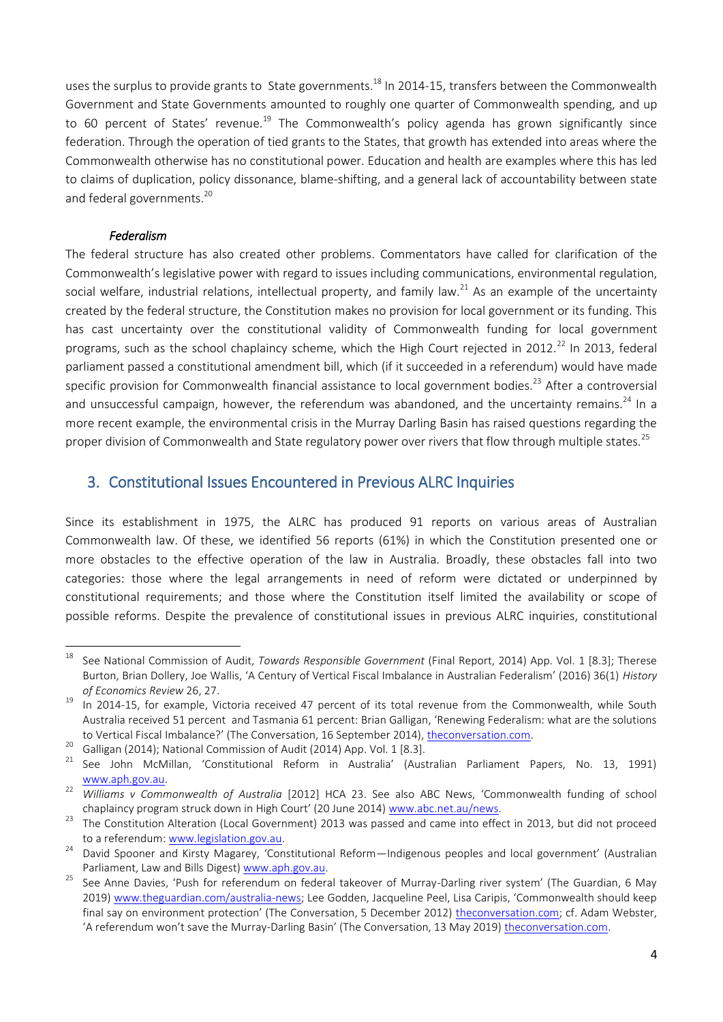uses the surplus to provide grants to State governments.<sup>18</sup> In 2014-15, transfers between the Commonwealth Government and State Governments amounted to roughly one quarter of Commonwealth spending, and up to 60 percent of States' revenue.<sup>19</sup> The Commonwealth's policy agenda has grown significantly since federation. Through the operation of tied grants to the States, that growth has extended into areas where the Commonwealth otherwise has no constitutional power. Education and health are examples where this has led to claims of duplication, policy dissonance, blame-shifting, and a general lack of accountability between state and federal governments.<sup>20</sup>

## *Federalism*

 $\overline{a}$ 

The federal structure has also created other problems. Commentators have called for clarification of the Commonwealth's legislative power with regard to issues including communications, environmental regulation, social welfare, industrial relations, intellectual property, and family law.<sup>21</sup> As an example of the uncertainty created by the federal structure, the Constitution makes no provision for local government or its funding. This has cast uncertainty over the constitutional validity of Commonwealth funding for local government programs, such as the school chaplaincy scheme, which the High Court rejected in 2012.<sup>22</sup> In 2013, federal parliament passed a constitutional amendment bill, which (if it succeeded in a referendum) would have made specific provision for Commonwealth financial assistance to local government bodies.<sup>23</sup> After a controversial and unsuccessful campaign, however, the referendum was abandoned, and the uncertainty remains.<sup>24</sup> In a more recent example, the environmental crisis in the Murray Darling Basin has raised questions regarding the proper division of Commonwealth and State regulatory power over rivers that flow through multiple states.<sup>25</sup>

## 3. Constitutional Issues Encountered in Previous ALRC Inquiries

Since its establishment in 1975, the ALRC has produced 91 reports on various areas of Australian Commonwealth law. Of these, we identified 56 reports (61%) in which the Constitution presented one or more obstacles to the effective operation of the law in Australia. Broadly, these obstacles fall into two categories: those where the legal arrangements in need of reform were dictated or underpinned by constitutional requirements; and those where the Constitution itself limited the availability or scope of possible reforms. Despite the prevalence of constitutional issues in previous ALRC inquiries, constitutional

<sup>18</sup> See National Commission of Audit, *Towards Responsible Government* (Final Report, 2014) App. Vol. 1 [8.3]; Therese Burton, Brian Dollery, Joe Wallis, 'A Century of Vertical Fiscal Imbalance in Australian Federalism' (2016) 36(1) *History of Economics Review* 26, 27.

In 2014-15, for example, Victoria received 47 percent of its total revenue from the Commonwealth, while South Australia received 51 percent and Tasmania 61 percent: Brian Galligan, 'Renewing Federalism: what are the solutions to Vertical Fiscal Imbalance?' (The Conversation, 16 September 2014), [theconversation.com.](https://theconversation.com/renewing-federalism-what-are-the-solutions-to-vertical-fiscal-imbalance-31422)

<sup>&</sup>lt;sup>20</sup> Galligan (2014); National Commission of Audit (2014) App. Vol. 1 [8.3].

<sup>&</sup>lt;sup>21</sup> See John McMillan, 'Constitutional Reform in Australia' (Australian Parliament Papers, No. 13, 1991) [www.aph.gov.au.](https://www.aph.gov.au/~/~/link.aspx?_id=042958A33D7D4CD985246D0974B643AA&_z=z)

<sup>22</sup> *Williams v Commonwealth of Australia* [2012] HCA 23. See also ABC News, 'Commonwealth funding of school chaplaincy program struck down in High Court' (20 June 2014) [www.abc.net.au/news.](https://www.abc.net.au/news/2014-06-19/high-court-delivers-verdict-on-school-chaplaincy-program/5534546)

<sup>&</sup>lt;sup>23</sup> The Constitution Alteration (Local Government) 2013 was passed and came into effect in 2013, but did not proceed to a referendum: [www.legislation.gov.au.](https://www.legislation.gov.au/Details/C2013B00133)

<sup>&</sup>lt;sup>24</sup> David Spooner and Kirsty Magarey, 'Constitutional Reform—Indigenous peoples and local government' (Australian Parliament, Law and Bills Digest[\) www.aph.gov.au.](https://www.aph.gov.au/About_Parliament/Parliamentary_Departments/Parliamentary_Library/pubs/BriefingBook44p/ConstReform)

<sup>&</sup>lt;sup>25</sup> See Anne Davies, 'Push for referendum on federal takeover of Murray-Darling river system' (The Guardian, 6 May 2019) [www.theguardian.com/australia-news](https://www.theguardian.com/australia-news/2019/may/06/push-for-referendum-on-federal-takeover-of-murray-darling-river-system); Lee Godden, Jacqueline Peel, Lisa Caripis, 'Commonwealth should keep final say on environment protection' (The Conversation, 5 December 2012) [theconversation.com;](https://theconversation.com/commonwealth-should-keep-final-say-on-environment-protection-11047) cf. Adam Webster, 'A referendum won't save the Murray-Darling Basin' (The Conversation, 13 May 2019) [theconversation.com.](https://theconversation.com/a-referendum-wont-save-the-murray-darling-basin-116750)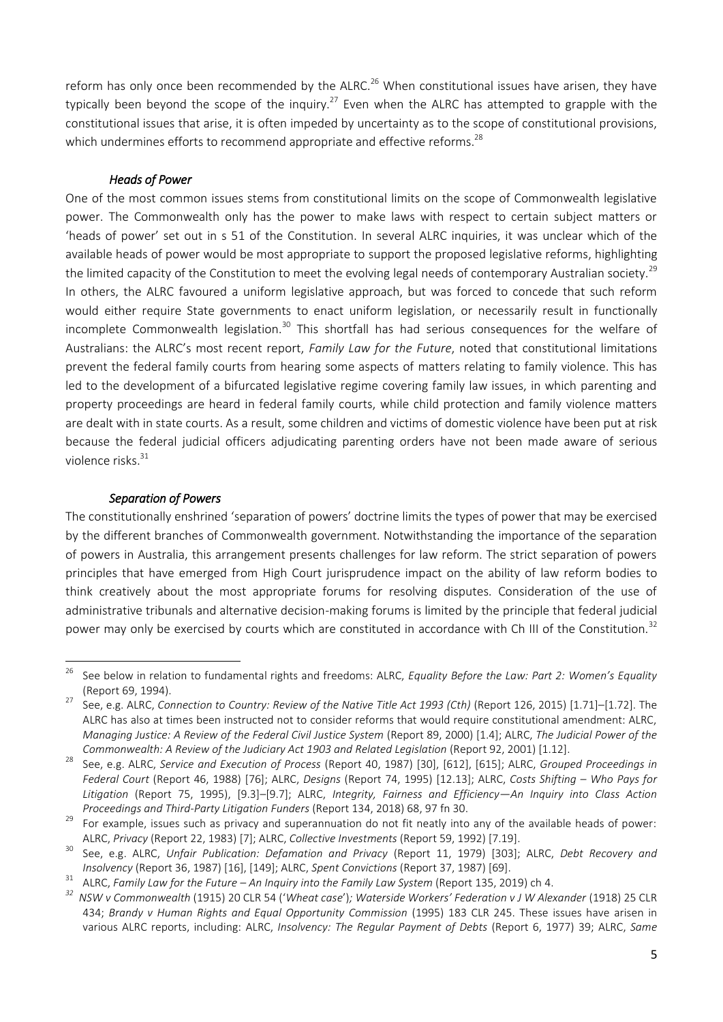reform has only once been recommended by the ALRC.<sup>26</sup> When constitutional issues have arisen, they have typically been beyond the scope of the inquiry.<sup>27</sup> Even when the ALRC has attempted to grapple with the constitutional issues that arise, it is often impeded by uncertainty as to the scope of constitutional provisions, which undermines efforts to recommend appropriate and effective reforms.<sup>28</sup>

## *Heads of Power*

One of the most common issues stems from constitutional limits on the scope of Commonwealth legislative power. The Commonwealth only has the power to make laws with respect to certain subject matters or 'heads of power' set out in s 51 of the Constitution. In several ALRC inquiries, it was unclear which of the available heads of power would be most appropriate to support the proposed legislative reforms, highlighting the limited capacity of the Constitution to meet the evolving legal needs of contemporary Australian society.<sup>29</sup> In others, the ALRC favoured a uniform legislative approach, but was forced to concede that such reform would either require State governments to enact uniform legislation, or necessarily result in functionally incomplete Commonwealth legislation.<sup>30</sup> This shortfall has had serious consequences for the welfare of Australians: the ALRC's most recent report, *Family Law for the Future*, noted that constitutional limitations prevent the federal family courts from hearing some aspects of matters relating to family violence. This has led to the development of a bifurcated legislative regime covering family law issues, in which parenting and property proceedings are heard in federal family courts, while child protection and family violence matters are dealt with in state courts. As a result, some children and victims of domestic violence have been put at risk because the federal judicial officers adjudicating parenting orders have not been made aware of serious violence risks. 31

### *Separation of Powers*

The constitutionally enshrined 'separation of powers' doctrine limits the types of power that may be exercised by the different branches of Commonwealth government. Notwithstanding the importance of the separation of powers in Australia, this arrangement presents challenges for law reform. The strict separation of powers principles that have emerged from High Court jurisprudence impact on the ability of law reform bodies to think creatively about the most appropriate forums for resolving disputes. Consideration of the use of administrative tribunals and alternative decision-making forums is limited by the principle that federal judicial power may only be exercised by courts which are constituted in accordance with Ch III of the Constitution.<sup>32</sup>

<sup>26</sup> <sup>26</sup> See below in relation to fundamental rights and freedoms: ALRC, *Equality Before the Law: Part 2: Women's Equality* (Report 69, 1994).

<sup>27</sup> See, e.g. ALRC, *Connection to Country: Review of the Native Title Act 1993 (Cth)* (Report 126, 2015) [1.71]–[1.72]. The ALRC has also at times been instructed not to consider reforms that would require constitutional amendment: ALRC, *Managing Justice: A Review of the Federal Civil Justice System* (Report 89, 2000) [1.4]; ALRC, *The Judicial Power of the Commonwealth: A Review of the Judiciary Act 1903 and Related Legislation (Report 92, 2001) [1.12].* 

<sup>28</sup> See, e.g. ALRC, *Service and Execution of Process* (Report 40, 1987) [30], [612], [615]; ALRC, *Grouped Proceedings in Federal Court* (Report 46, 1988) [76]; ALRC, *Designs* (Report 74, 1995) [12.13]; ALRC, *Costs Shifting – Who Pays for Litigation* (Report 75, 1995), [9.3]–[9.7]; ALRC, *Integrity, Fairness and Efficiency—An Inquiry into Class Action Proceedings and Third-Party Litigation Funders* (Report 134, 2018) 68, 97 fn 30.

<sup>&</sup>lt;sup>29</sup> For example, issues such as privacy and superannuation do not fit neatly into any of the available heads of power: ALRC, *Privacy* (Report 22, 1983) [7]; ALRC, *Collective Investments* (Report 59, 1992) [7.19].

<sup>30</sup> See, e.g. ALRC, *Unfair Publication: Defamation and Privacy* (Report 11, 1979) [303]; ALRC, *Debt Recovery and Insolvency* (Report 36, 1987) [16], [149]; ALRC, *Spent Convictions* (Report 37, 1987) [69].

<sup>31</sup> ALRC, *Family Law for the Future – An Inquiry into the Family Law System* (Report 135, 2019) ch 4.

*<sup>32</sup> NSW v Commonwealth* (1915) 20 CLR 54 ('*Wheat case*')*; Waterside Workers' Federation v J W Alexander* (1918) 25 CLR 434; *Brandy v Human Rights and Equal Opportunity Commission* (1995) 183 CLR 245. These issues have arisen in various ALRC reports, including: ALRC, *Insolvency: The Regular Payment of Debts* (Report 6, 1977) 39; ALRC, *Same*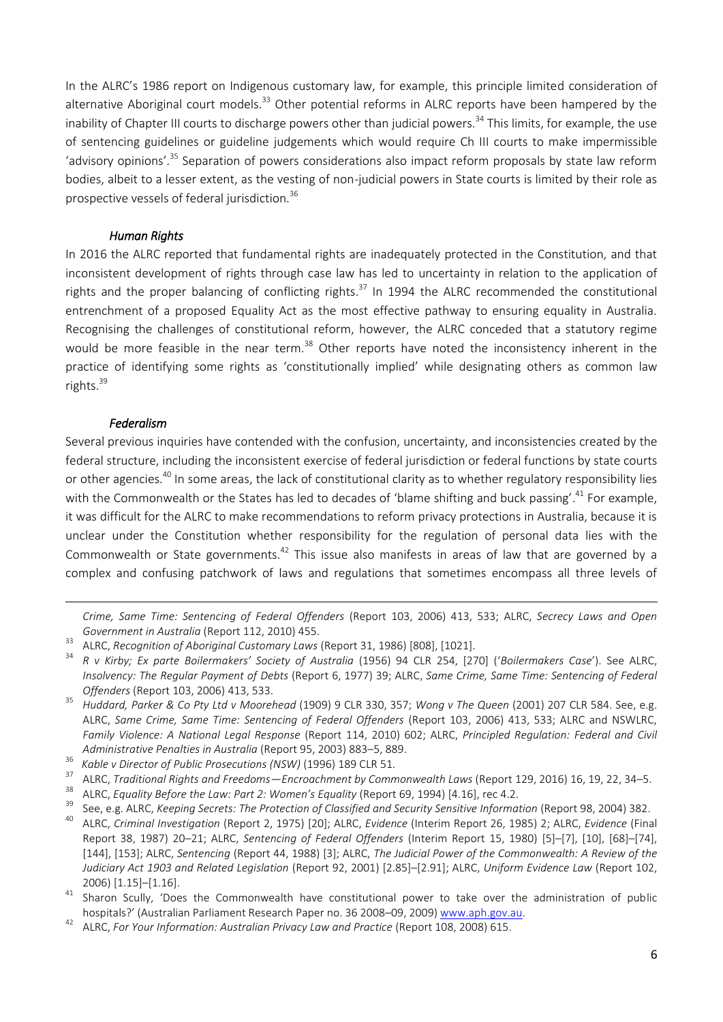In the ALRC's 1986 report on Indigenous customary law, for example, this principle limited consideration of alternative Aboriginal court models.<sup>33</sup> Other potential reforms in ALRC reports have been hampered by the inability of Chapter III courts to discharge powers other than judicial powers.<sup>34</sup> This limits, for example, the use of sentencing guidelines or guideline judgements which would require Ch III courts to make impermissible 'advisory opinions'.<sup>35</sup> Separation of powers considerations also impact reform proposals by state law reform bodies, albeit to a lesser extent, as the vesting of non-judicial powers in State courts is limited by their role as prospective vessels of federal jurisdiction.<sup>36</sup>

## *Human Rights*

In 2016 the ALRC reported that fundamental rights are inadequately protected in the Constitution, and that inconsistent development of rights through case law has led to uncertainty in relation to the application of rights and the proper balancing of conflicting rights.<sup>37</sup> In 1994 the ALRC recommended the constitutional entrenchment of a proposed Equality Act as the most effective pathway to ensuring equality in Australia. Recognising the challenges of constitutional reform, however, the ALRC conceded that a statutory regime would be more feasible in the near term.<sup>38</sup> Other reports have noted the inconsistency inherent in the practice of identifying some rights as 'constitutionally implied' while designating others as common law rights.<sup>39</sup>

## *Federalism*

**.** 

Several previous inquiries have contended with the confusion, uncertainty, and inconsistencies created by the federal structure, including the inconsistent exercise of federal jurisdiction or federal functions by state courts or other agencies.<sup>40</sup> In some areas, the lack of constitutional clarity as to whether regulatory responsibility lies with the Commonwealth or the States has led to decades of 'blame shifting and buck passing'.<sup>41</sup> For example, it was difficult for the ALRC to make recommendations to reform privacy protections in Australia, because it is unclear under the Constitution whether responsibility for the regulation of personal data lies with the Commonwealth or State governments.<sup>42</sup> This issue also manifests in areas of law that are governed by a complex and confusing patchwork of laws and regulations that sometimes encompass all three levels of

*Crime, Same Time: Sentencing of Federal Offenders* (Report 103, 2006) 413, 533; ALRC, *Secrecy Laws and Open Government in Australia* (Report 112, 2010) 455.

- <sup>35</sup> *Huddard, Parker & Co Pty Ltd v Moorehead* (1909) 9 CLR 330, 357; *Wong v The Queen* (2001) 207 CLR 584. See, e.g. ALRC, *Same Crime, Same Time: Sentencing of Federal Offenders* (Report 103, 2006) 413, 533; ALRC and NSWLRC, *Family Violence: A National Legal Response* (Report 114, 2010) 602; ALRC, *Principled Regulation: Federal and Civil Administrative Penalties in Australia* (Report 95, 2003) 883–5, 889.
- 36 <sup>36</sup> Kable v Director of Public Prosecutions (NSW) (1996) 189 CLR 51.<br><sup>37</sup> ALBG Traditional Bights and Freedams - Francashment by Camm
- <sup>37</sup> ALRC, *Traditional Rights and Freedoms—Encroachment by Commonwealth Laws* (Report 129, 2016) 16, 19, 22, 34–5.
- <sup>38</sup> ALRC, *Equality Before the Law: Part 2: Women's Equality* (Report 69, 1994) [4.16], rec 4.2.
- <sup>39</sup> See, e.g. ALRC, *Keeping Secrets: The Protection of Classified and Security Sensitive Information* (Report 98, 2004) 382.<br><sup>40</sup> ALRC *Criminal Investigation* (Report 2, 1975) 591, ALRC Fridayes Unterim Report 26, 1995)

<sup>33</sup> ALRC, *Recognition of Aboriginal Customary Laws* (Report 31, 1986) [808], [1021].

<sup>34</sup> *R v Kirby; Ex parte Boilermakers' Society of Australia* (1956) 94 CLR 254, [270] ('*Boilermakers Case*'). See ALRC, *Insolvency: The Regular Payment of Debts* (Report 6, 1977) 39; ALRC, *Same Crime, Same Time: Sentencing of Federal Offenders* (Report 103, 2006) 413, 533.

<sup>40</sup> ALRC, *Criminal Investigation* (Report 2, 1975) [20]; ALRC, *Evidence* (Interim Report 26, 1985) 2; ALRC, *Evidence* (Final Report 38, 1987) 20–21; ALRC, *Sentencing of Federal Offenders* (Interim Report 15, 1980) [5]–[7], [10], [68]–[74], [144], [153]; ALRC, *Sentencing* (Report 44, 1988) [3]; ALRC, *The Judicial Power of the Commonwealth: A Review of the Judiciary Act 1903 and Related Legislation* (Report 92, 2001) [2.85]–[2.91]; ALRC, *Uniform Evidence Law* (Report 102, 2006) [1.15]–[1.16].

<sup>&</sup>lt;sup>41</sup> Sharon Scully, 'Does the Commonwealth have constitutional power to take over the administration of public hospitals?' (Australian Parliament Research Paper no. 36 2008–09, 2009[\) www.aph.gov.au.](https://www.aph.gov.au/About_Parliament/Parliamentary_Departments/Parliamentary_Library/pubs/rp/rp0809/09rp36#_ftnref2)

<sup>&</sup>lt;sup>42</sup> ALRC. *For Your Information: Australian Privacy Law and Practice* (Report 108, 2008) 615.